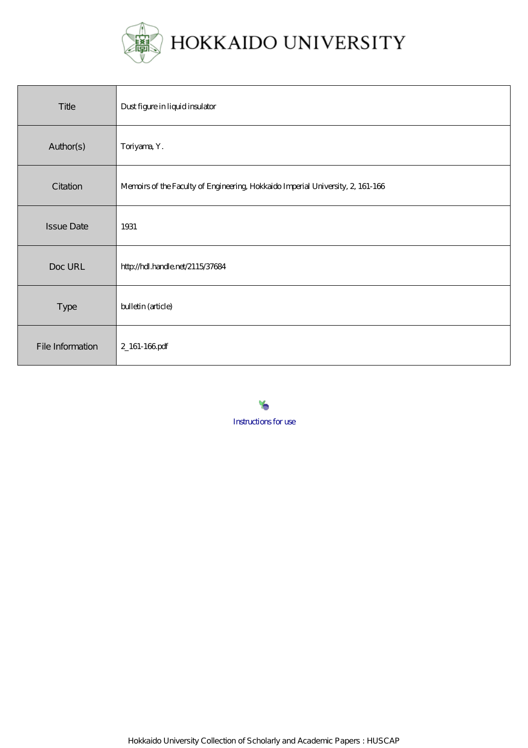

| Title             | Dust figure in liquid insulator                                                 |
|-------------------|---------------------------------------------------------------------------------|
| Author(s)         | Toriyama, Y.                                                                    |
| Citation          | Memoirs of the Faculty of Engineering. Hokkaido Imperial University, 2, 161-166 |
| <b>Issue Date</b> | 1931                                                                            |
| Doc URL           | http://hdl.handle.net/2115/37684                                                |
| Type              | bulletin (article)                                                              |
| File Information  | 2161-166pdf                                                                     |

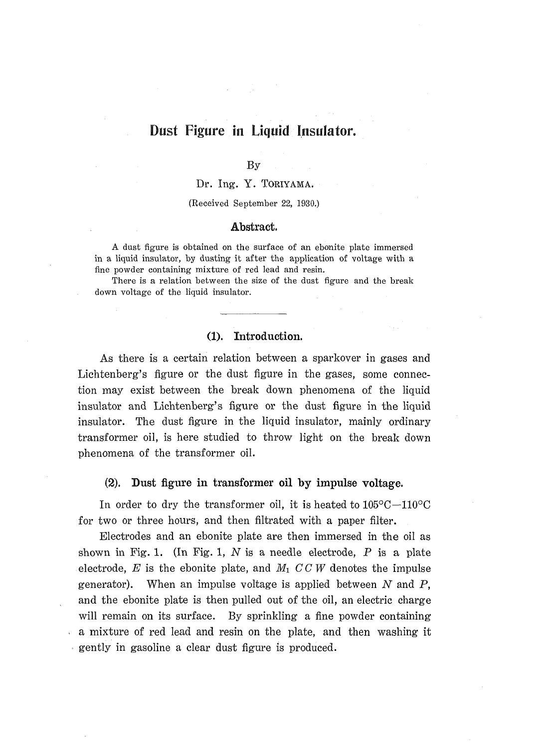# Dust Figure in Liquid Insulator.

## $\mathbf{B}\mathbf{y}$  . The set of  $\mathbf{B}\mathbf{y}$

## Dr. Ing. Y. TORIYAMA.

#### (Received September 22, 1930.)

# . , Abstraet,

A dust figure is obtained on the surface of an ebonite plate immersed in a liquid insulator, by dusting it after the applieation of voltage with a fine powder containing mixture of red lead and resin.

 There is a relation between the size of the dust figure and the break downvoltageoftheliquidinsulator. . . ' ' ' ' ' ' ' (1), Xntroduetion, ' '''

 As there is a certain relation between a sparkover in gases and Lichtenberg's figure or the dust figure in the gases, some connec tion may exist between the break down phenomena of the liquid insulator and Lichtenberg's figure or the dust figure in the liquid insulator. The dust figure in the liquid insulator, mainly ordinary transformer oil, is here studied to throw light on the break down phenomena of the transformer oil.

### (2), Dust figure in transformer oil by impulse voltage,

In order to dry the transformer oil, it is heated to  $105^{\circ}$ C $-110^{\circ}$ C for two or three hours, and then filtrated with a paper filter.

 Electrodes and an ebonite plate are then immersed in the oil as shown in Fig. 1. (In Fig. 1, N is a needle electrode, P is a plate electrode,  $E$  is the ebonite plate, and  $M_1$  CCW denotes the impulse generator). When an impulse voltage is applied between  $N$  and  $P$ , and the ebonite plate is then pulled out of the oil, an eleetrie charge will remain on its surface. By sprinkling a fine powder containing a mixture of red lead and resin on the plate, and then washing it gently in gasoline a clear dust figure is produced.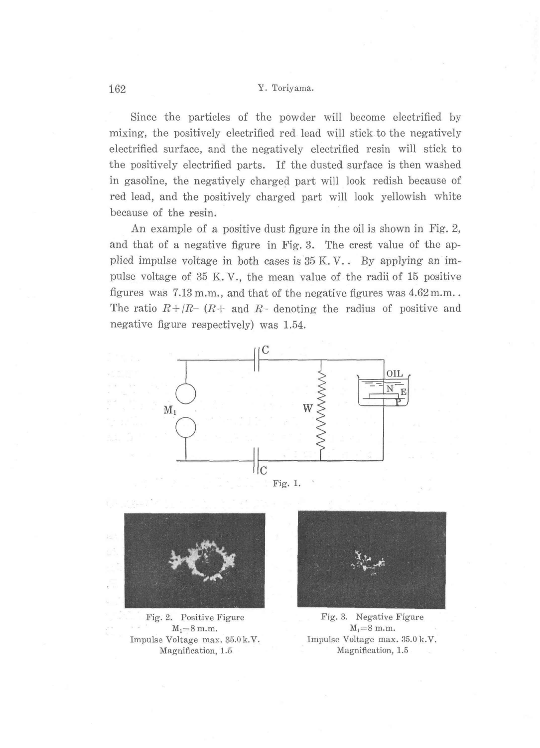# 162 Y. Toriyama

 Since the particles of the powder will become electrified by mixing, the positively electrified red lead will stick to the negatively electrified surface, and the negatively eleetrified resin will stick to the positively electrified parts. If the dusted surface is then washed in gasoline, the negatiyely charged part will look redish because of red Iead, and the positively charged part will look yellowish white because of the resin.

 An example of a positive dust figure in the oil is shown in Fig. 2, and that of a negative figure in Fig. 3. The crest value of the applied impulse voltage in both cases is 35 K.V.. By applying an impulse voltage of 35 K.V., the mean value of the radii of 15 positive figures was  $7.13$  m.m., and that of the negative figures was  $4.62$  m.m.. The ratio  $R+$   $(R+$  and  $R-$  denoting the radius of positive and negative figure respeetively) was 1.54.



Fig. 1.



Fig. 2. Positive Figure  $M_1=8$  m.m. Impulse Voltage max. 35.0k.V. Magnification, 1.5



Fig. 3. Negative Figure  $M_i=8$  m.m. Impulse Voltage max. 35.0 k.V. Magnification, 1.5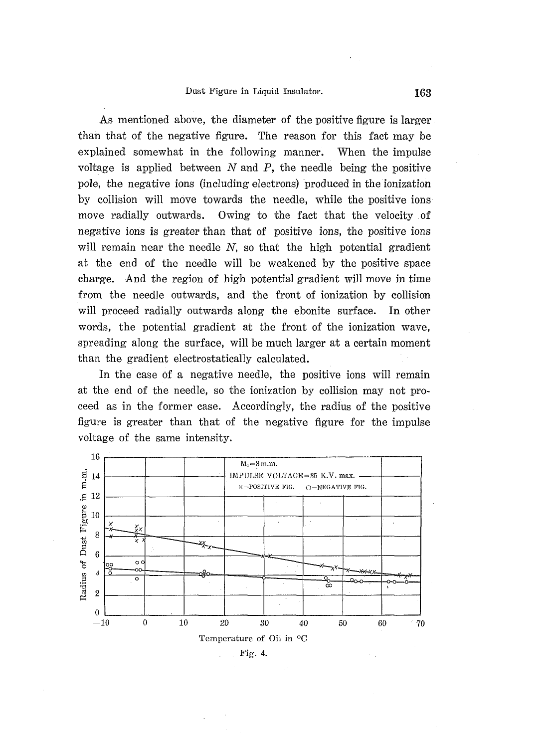As mentioned above, the diameter of the positive figure is larger than that of the negative figure. The reason for this fact may be explained somewhat in the following manner. When the impulse voltage is applied between  $N$  and  $P$ , the needle being the positive pole, the negative ions (including electrons) produced in the ionization by collision will move towards the needle, while the positive ions move radially outwards. Owing to the fact that the velocity of negative ions is greater than that of positive ions, the positive ions will remain near the needle N, so that the high potential gradient at the end of the needle will be weakened by the positive space charge. And the region of high potential gradient will move in time from the needle outwards, and the front of ionization by collision will proceed radially outwards along the ebonite surface. In other words, the potential gradient at the front of the ionization wave, spreading along the surface, will be much larger at a certain moment than the gradient electrostatically calculated.

In the case of a negative needle, the positive ions will remain at the end of the needle, so the ionization by collision may not proceed as in the former case. Accordingly, the radius of the positive figure is greater than that of the negative figure for the impulse voltage of the same intensity.

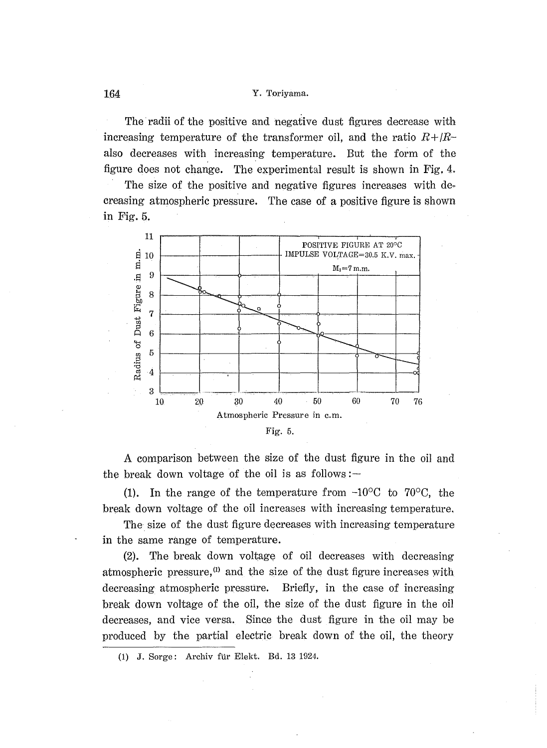Y. Torivama.

The radii of the positive and negative dust figures decrease with increasing temperature of the transformer oil, and the ratio  $R+|R$ also decreases with increasing temperature. But the form of the figure does not change. The experimental result is shown in Fig. 4.

The size of the positive and negative figures increases with decreasing atmospheric pressure. The case of a positive figure is shown in Fig. 5.



A comparison between the size of the dust figure in the oil and the break down voltage of the oil is as follows: $-$ 

(1). In the range of the temperature from  $-10^{\circ}$ C to 70<sup>o</sup>C, the break down voltage of the oil increases with increasing temperature.

The size of the dust figure decreases with increasing temperature in the same range of temperature.

(2). The break down voltage of oil decreases with decreasing atmospheric pressure, $^{(1)}$  and the size of the dust figure increases with decreasing atmospheric pressure. Briefly, in the case of increasing break down voltage of the oil, the size of the dust figure in the oil decreases, and vice versa. Since the dust figure in the oil may be produced by the partial electric break down of the oil, the theory

(1) J. Sorge: Archiv für Elekt. Bd. 13 1924.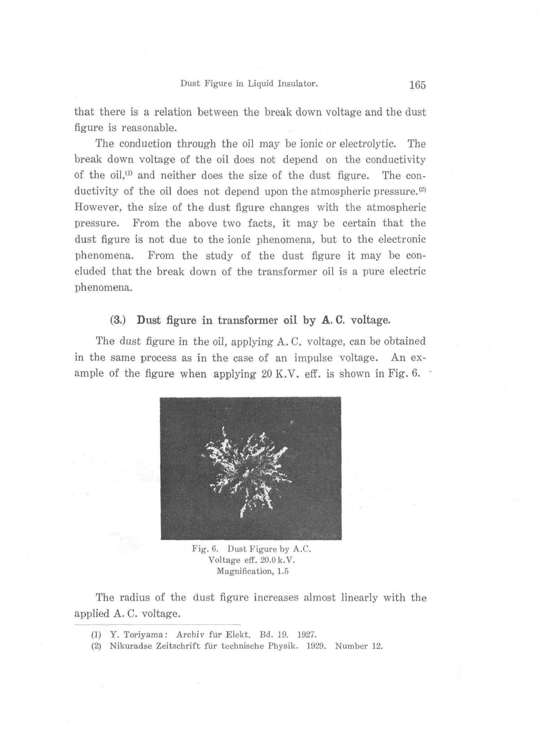that there is a relation between the break down voltage and the dust figure is reasonable.

 The conduction through the oil may be ionic or electrolytic. The break down voltage of the oil does not depend on the conduetivity of the oil, $(1)$  and neither does the size of the dust figure. The conductivity of the oil does not depend upon the atmospheric pressure.<sup>(2)</sup> However, the size of the dust figure changes with the atmospheric pressure. From the above two facts, it may be certain that the dust figure is not due to the ionie phenomena, but to the electronic phenomena. From the study of the dust figure it may be concluded that the break down of the transformer oil is a pure electrie phenomena.

## (3.) Dust figure in transformer oil by A,C, voltage.

 The dust figure in the oil, applying A. C. voltage, can be obtained in the same process as in the case of an impulse voltage. An example of the figure when applying  $20 \text{ K.V. }$  eff. is shown in Fig. 6.



Fig. 6. Dust Figure by A.C. Voltage eff. 20.0k.V. Magnifieation, 1.5

The radius of the dust figure increases almost linearly with the applied A. C. voltage.

- (1) Y. Toriyama: Archiv für Elekt. Bd. 19. 1927
- (2) Nikuradse Zeitschrift für technische Physik. 1929. Number 12.